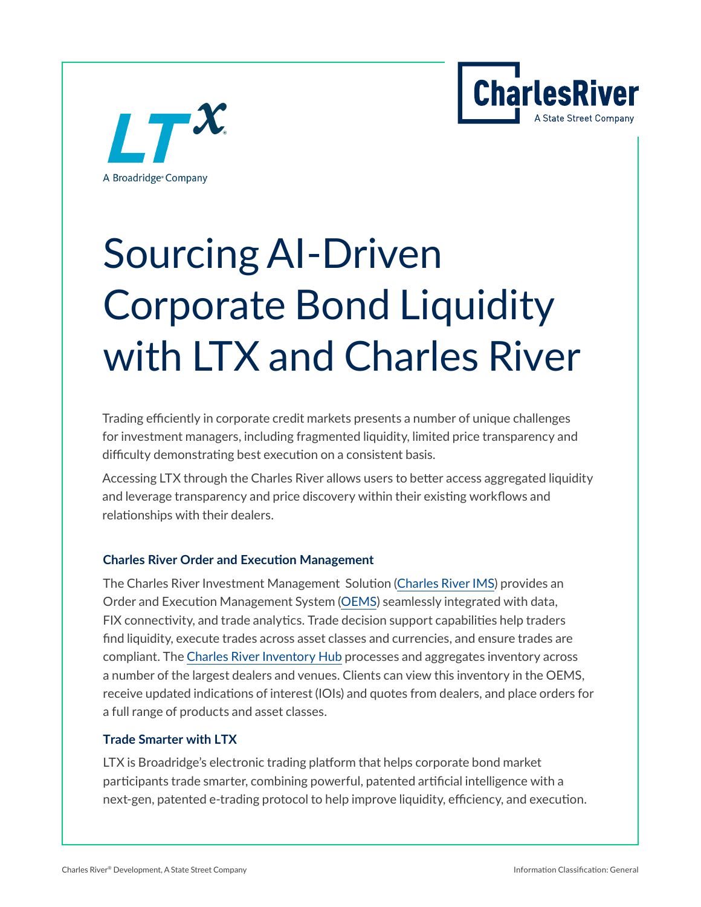



# Sourcing AI-Driven Corporate Bond Liquidity with LTX and Charles River

Trading efficiently in corporate credit markets presents a number of unique challenges for investment managers, including fragmented liquidity, limited price transparency and difficulty demonstrating best execution on a consistent basis.

Accessing LTX through the Charles River allows users to better access aggregated liquidity and leverage transparency and price discovery within their existing workflows and relationships with their dealers.

#### **Charles River Order and Execution Management**

The Charles River Investment Management Solution [\(Charles River IMS](https://www.crd.com/solutions/charles-river-ims/)) provides an Order and Execution Management System [\(OEMS](https://www.crd.com/solutions/charles-river-trader)) seamlessly integrated with data, FIX connectivity, and trade analytics. Trade decision support capabilities help traders find liquidity, execute trades across asset classes and currencies, and ensure trades are compliant. The [Charles River Inventory Hub](https://info.crd.com/CR-InventoryHub) processes and aggregates inventory across a number of the largest dealers and venues. Clients can view this inventory in the OEMS, receive updated indications of interest (IOIs) and quotes from dealers, and place orders for a full range of products and asset classes.

#### **Trade Smarter with LTX**

LTX is Broadridge's electronic trading platform that helps corporate bond market participants trade smarter, combining powerful, patented artificial intelligence with a next-gen, patented e-trading protocol to help improve liquidity, efficiency, and execution.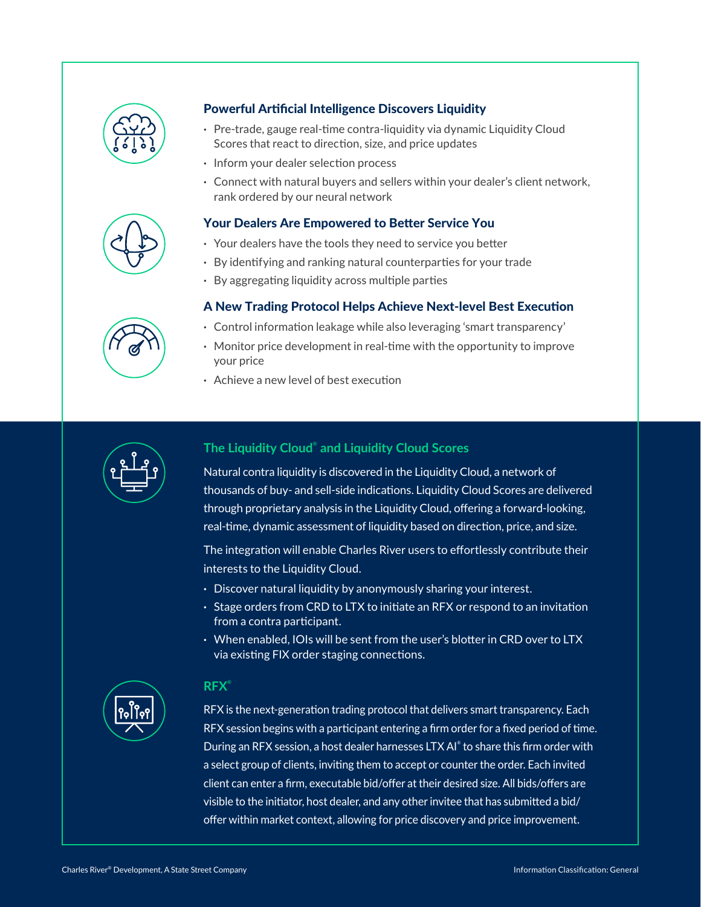

#### Powerful Artificial Intelligence Discovers Liquidity

- **·** Pre-trade, gauge real-time contra-liquidity via dynamic Liquidity Cloud Scores that react to direction, size, and price updates
- **·** Inform your dealer selection process
- **·** Connect with natural buyers and sellers within your dealer's client network, rank ordered by our neural network

#### Your Dealers Are Empowered to Better Service You

- **·** Your dealers have the tools they need to service you better
- **·** By identifying and ranking natural counterparties for your trade
- **·** By aggregating liquidity across multiple parties

#### A New Trading Protocol Helps Achieve Next-level Best Execution

- **·** Control information leakage while also leveraging 'smart transparency'
- **·** Monitor price development in real-time with the opportunity to improve your price
- **·** Achieve a new level of best execution



#### **The Liquidity Cloud**®  **and Liquidity Cloud Scores**

Natural contra liquidity is discovered in the Liquidity Cloud, a network of thousands of buy- and sell-side indications. Liquidity Cloud Scores are delivered through proprietary analysis in the Liquidity Cloud, offering a forward-looking, real-time, dynamic assessment of liquidity based on direction, price, and size.

The integration will enable Charles River users to effortlessly contribute their interests to the Liquidity Cloud.

- **·** Discover natural liquidity by anonymously sharing your interest.
- **·** Stage orders from CRD to LTX to initiate an RFX or respond to an invitation from a contra participant.
- **·** When enabled, IOIs will be sent from the user's blotter in CRD over to LTX via existing FIX order staging connections.



#### **RFX**®

RFX is the next-generation trading protocol that delivers smart transparency. Each RFX session begins with a participant entering a firm order for a fixed period of time. During an RFX session, a host dealer harnesses LTX AI® to share this firm order with a select group of clients, inviting them to accept or counter the order. Each invited client can enter a firm, executable bid/offer at their desired size. All bids/offers are visible to the initiator, host dealer, and any other invitee that has submitted a bid/ offer within market context, allowing for price discovery and price improvement.